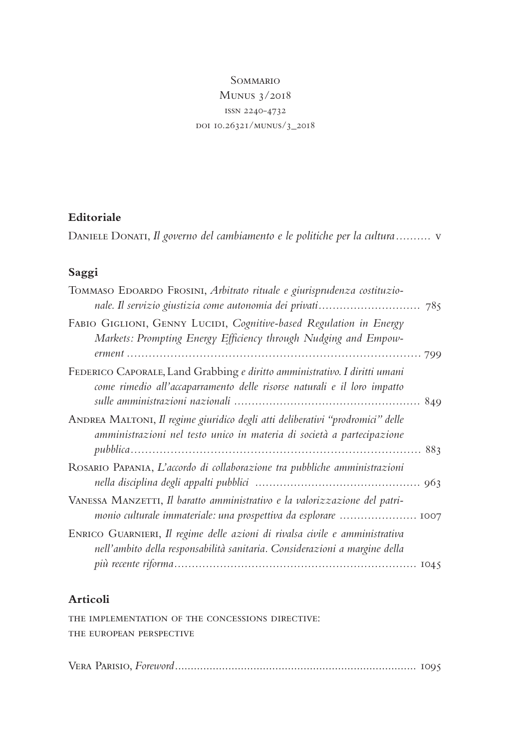# **SOMMARIO** Munus 3/2018 issn 2240-4732 doi 10.26321/munus/3\_2018

### **Editoriale**

DANIELE DONATI, *Il governo del cambiamento e le politiche per la cultura..........* v

# **Saggi**

| TOMMASO EDOARDO FROSINI, Arbitrato rituale e giurisprudenza costituzio-                                                                                   |
|-----------------------------------------------------------------------------------------------------------------------------------------------------------|
| FABIO GIGLIONI, GENNY LUCIDI, Cognitive-based Regulation in Energy<br>Markets: Prompting Energy Efficiency through Nudging and Empow-                     |
| FEDERICO CAPORALE, Land Grabbing e diritto amministrativo. I diritti umani<br>come rimedio all'accaparramento delle risorse naturali e il loro impatto    |
| ANDREA MALTONI, Il regime giuridico degli atti deliberativi "prodromici" delle<br>amministrazioni nel testo unico in materia di società a partecipazione  |
| ROSARIO PAPANIA, L'accordo di collaborazione tra pubbliche amministrazioni                                                                                |
| VANESSA MANZETTI, Il baratto amministrativo e la valorizzazione del patri-                                                                                |
| ENRICO GUARNIERI, Il regime delle azioni di rivalsa civile e amministrativa<br>nell'ambito della responsabilità sanitaria. Considerazioni a margine della |
|                                                                                                                                                           |

#### **Articoli**

the implementation of the concessions directive: the european perspective

Vera Parisio, *Foreword*............................................................................. 1095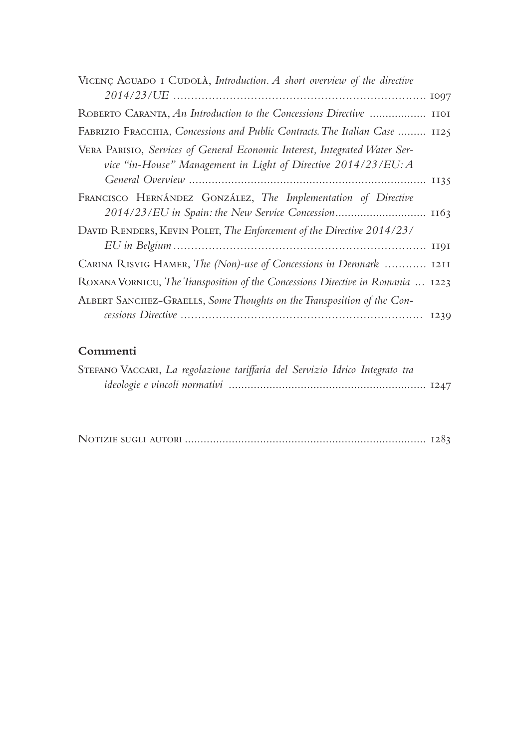| VICENÇ AGUADO I CUDOLÀ, Introduction. A short overview of the directive                                                                      |  |
|----------------------------------------------------------------------------------------------------------------------------------------------|--|
|                                                                                                                                              |  |
| ROBERTO CARANTA, An Introduction to the Concessions Directive  1101                                                                          |  |
| FABRIZIO FRACCHIA, Concessions and Public Contracts. The Italian Case  1125                                                                  |  |
| VERA PARISIO, Services of General Economic Interest, Integrated Water Ser-<br>vice "in-House" Management in Light of Directive 2014/23/EU: A |  |
| FRANCISCO HERNÁNDEZ GONZÁLEZ, The Implementation of Directive<br>2014/23/EU in Spain: the New Service Concession 1163                        |  |
| DAVID RENDERS, KEVIN POLET, The Enforcement of the Directive 2014/23/                                                                        |  |
| CARINA RISVIG HAMER, The (Non)-use of Concessions in Denmark  1211                                                                           |  |
| ROXANA VORNICU, The Transposition of the Concessions Directive in Romania  1223                                                              |  |
| ALBERT SANCHEZ-GRAELLS, Some Thoughts on the Transposition of the Con-                                                                       |  |
|                                                                                                                                              |  |

### **Commenti**

| STEFANO VACCARI, La regolazione tariffaria del Servizio Idrico Integrato tra |  |  |  |  |  |
|------------------------------------------------------------------------------|--|--|--|--|--|
|                                                                              |  |  |  |  |  |

|--|--|--|--|--|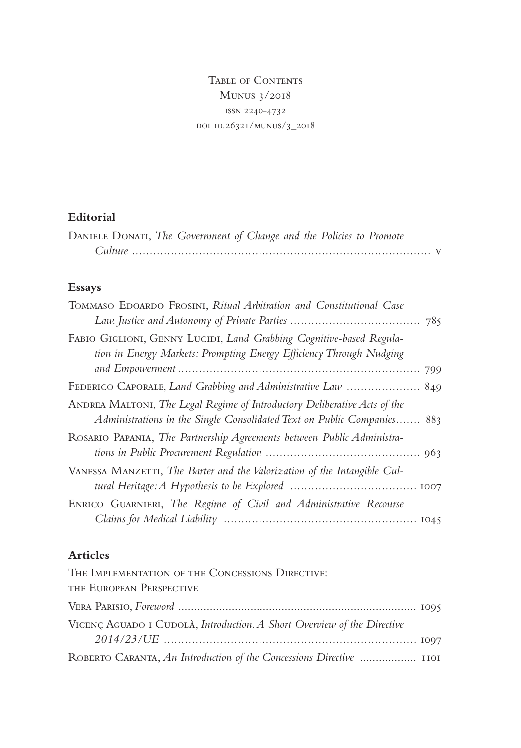Table of Contents Munus 3/2018 issn 2240-4732 doi 10.26321/munus/3\_2018

# **Editorial**

| DANIELE DONATI, The Government of Change and the Policies to Promote |  |
|----------------------------------------------------------------------|--|
|                                                                      |  |

# **Essays**

| TOMMASO EDOARDO FROSINI, Ritual Arbitration and Constitutional Case                                                                                  |
|------------------------------------------------------------------------------------------------------------------------------------------------------|
| FABIO GIGLIONI, GENNY LUCIDI, Land Grabbing Cognitive-based Regula-<br>tion in Energy Markets: Prompting Energy Efficiency Through Nudging           |
|                                                                                                                                                      |
| ANDREA MALTONI, The Legal Regime of Introductory Deliberative Acts of the<br>Administrations in the Single Consolidated Text on Public Companies 883 |
| ROSARIO PAPANIA, The Partnership Agreements between Public Administra-                                                                               |
| VANESSA MANZETTI, The Barter and the Valorization of the Intangible Cul-                                                                             |
| ENRICO GUARNIERI, The Regime of Civil and Administrative Recourse                                                                                    |

# **Articles**

| THE IMPLEMENTATION OF THE CONCESSIONS DIRECTIVE:                        |  |
|-------------------------------------------------------------------------|--|
| THE EUROPEAN PERSPECTIVE                                                |  |
|                                                                         |  |
| VICENÇ AGUADO I CUDOLÀ, Introduction. A Short Overview of the Directive |  |
|                                                                         |  |
| ROBERTO CARANTA, An Introduction of the Concessions Directive  1101     |  |